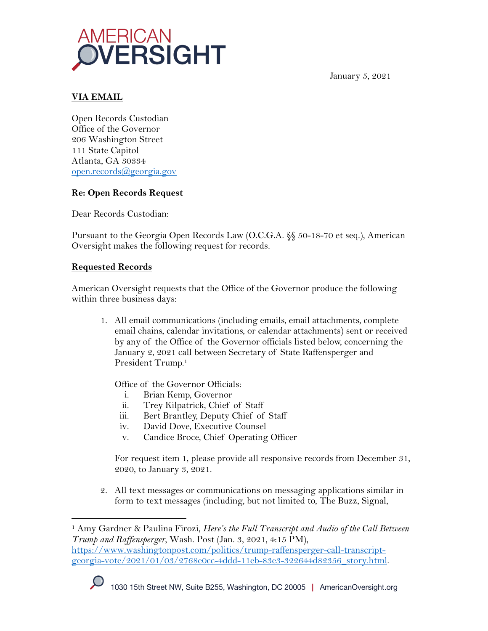

January 5, 2021

## **VIA EMAIL**

Open Records Custodian Office of the Governor 206 Washington Street 111 State Capitol Atlanta, GA 30334 open.records@georgia.gov

## **Re: Open Records Request**

Dear Records Custodian:

Pursuant to the Georgia Open Records Law (O.C.G.A. §§ 50-18-70 et seq.), American Oversight makes the following request for records.

## **Requested Records**

American Oversight requests that the Office of the Governor produce the following within three business days:

1. All email communications (including emails, email attachments, complete email chains, calendar invitations, or calendar attachments) sent or received by any of the Office of the Governor officials listed below, concerning the January 2, 2021 call between Secretary of State Raffensperger and President Trump.<sup>1</sup>

Office of the Governor Officials:

- i. Brian Kemp, Governor
- ii. Trey Kilpatrick, Chief of Staff
- iii. Bert Brantley, Deputy Chief of Staff
- iv. David Dove, Executive Counsel
- v. Candice Broce, Chief Operating Officer

For request item 1, please provide all responsive records from December 31, 2020, to January 3, 2021.

2. All text messages or communications on messaging applications similar in form to text messages (including, but not limited to, The Buzz, Signal,

<sup>1</sup> Amy Gardner & Paulina Firozi, *Here's the Full Transcript and Audio of the Call Between Trump and Raffensperger*, Wash. Post (Jan. 3, 2021, 4:15 PM), https://www.washingtonpost.com/politics/trump-raffensperger-call-transcriptgeorgia-vote/2021/01/03/2768e0cc-4ddd-11eb-83e3-322644d82356\_story.html.

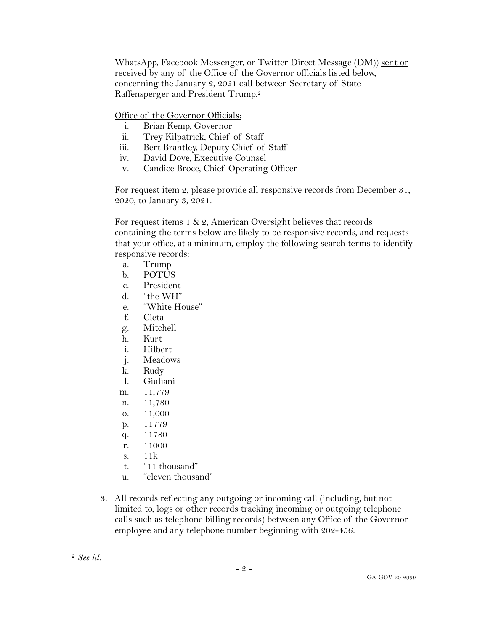WhatsApp, Facebook Messenger, or Twitter Direct Message (DM)) sent or received by any of the Office of the Governor officials listed below, concerning the January 2, 2021 call between Secretary of State Raffensperger and President Trump.2

Office of the Governor Officials:

- i. Brian Kemp, Governor
- ii. Trey Kilpatrick, Chief of Staff
- iii. Bert Brantley, Deputy Chief of Staff
- iv. David Dove, Executive Counsel
- v. Candice Broce, Chief Operating Officer

For request item 2, please provide all responsive records from December 31, 2020, to January 3, 2021.

For request items 1 & 2, American Oversight believes that records containing the terms below are likely to be responsive records, and requests that your office, at a minimum, employ the following search terms to identify responsive records:

- a. Trump
- b. POTUS
- c. President
- d. "the WH"
- e. "White House"
- f. Cleta
- g. Mitchell
- h. Kurt
- i. Hilbert
- j. Meadows
- k. Rudy
- l. Giuliani
- m. 11,779
- n. 11,780
- o. 11,000
- p. 11779
- q. 11780
- r. 11000
- s. 11k
- t. "11 thousand"
- u. "eleven thousand"
- 3. All records reflecting any outgoing or incoming call (including, but not limited to, logs or other records tracking incoming or outgoing telephone calls such as telephone billing records) between any Office of the Governor employee and any telephone number beginning with 202-456.

<sup>2</sup> *See id.*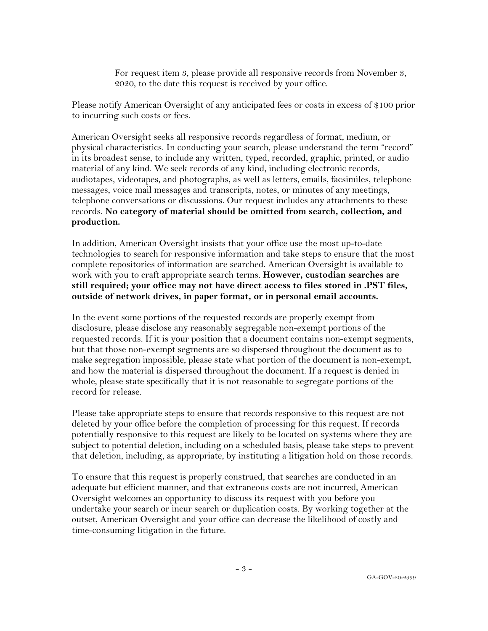For request item 3, please provide all responsive records from November 3, 2020, to the date this request is received by your office.

Please notify American Oversight of any anticipated fees or costs in excess of \$100 prior to incurring such costs or fees.

American Oversight seeks all responsive records regardless of format, medium, or physical characteristics. In conducting your search, please understand the term "record" in its broadest sense, to include any written, typed, recorded, graphic, printed, or audio material of any kind. We seek records of any kind, including electronic records, audiotapes, videotapes, and photographs, as well as letters, emails, facsimiles, telephone messages, voice mail messages and transcripts, notes, or minutes of any meetings, telephone conversations or discussions. Our request includes any attachments to these records. **No category of material should be omitted from search, collection, and production.**

In addition, American Oversight insists that your office use the most up-to-date technologies to search for responsive information and take steps to ensure that the most complete repositories of information are searched. American Oversight is available to work with you to craft appropriate search terms. **However, custodian searches are still required; your office may not have direct access to files stored in .PST files, outside of network drives, in paper format, or in personal email accounts.**

In the event some portions of the requested records are properly exempt from disclosure, please disclose any reasonably segregable non-exempt portions of the requested records. If it is your position that a document contains non-exempt segments, but that those non-exempt segments are so dispersed throughout the document as to make segregation impossible, please state what portion of the document is non-exempt, and how the material is dispersed throughout the document. If a request is denied in whole, please state specifically that it is not reasonable to segregate portions of the record for release.

Please take appropriate steps to ensure that records responsive to this request are not deleted by your office before the completion of processing for this request. If records potentially responsive to this request are likely to be located on systems where they are subject to potential deletion, including on a scheduled basis, please take steps to prevent that deletion, including, as appropriate, by instituting a litigation hold on those records.

To ensure that this request is properly construed, that searches are conducted in an adequate but efficient manner, and that extraneous costs are not incurred, American Oversight welcomes an opportunity to discuss its request with you before you undertake your search or incur search or duplication costs. By working together at the outset, American Oversight and your office can decrease the likelihood of costly and time-consuming litigation in the future.